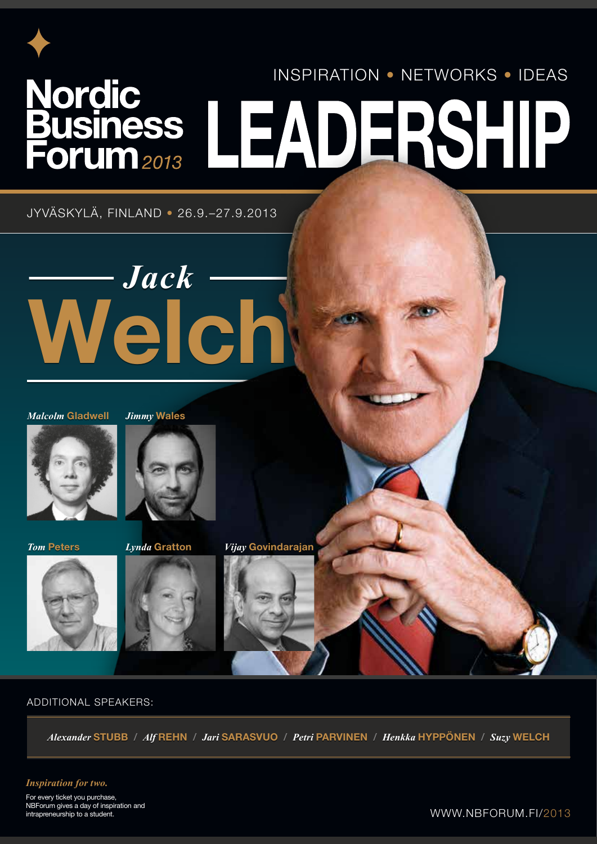# Nordic Business LEADERSHIP

JYVÄSKYLÄ, FINLAND • 26.9.–27.9.2013

# *Jack* Welch *Jack* Welch

*Malcolm* Gladwell *Jimmy* Wales







#### ADDITIONAL SPEAKERS:

*Alexander Alexander* STUBB / STUBB / *Alf Alf* REHN / REHN / *Jari Jari* SARASVUO SARASVUO / / *Petri Petri* PARVINEN PARVINEN / / *Henkka Henkka* HYPPÖNEN / HYPPÖNEN / *Suzy Suzy* WELCH WELCH

#### *Inspiration for two.*

For every ticket you purchase, NBForum gives a day of inspiration and intrapreneurship to a student.

#### WWW.NBFORUM.FI/2013